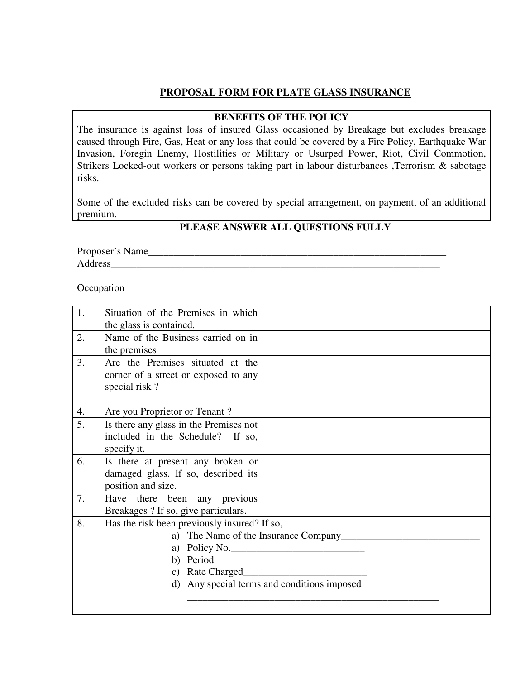### **PROPOSAL FORM FOR PLATE GLASS INSURANCE**

#### **BENEFITS OF THE POLICY**

The insurance is against loss of insured Glass occasioned by Breakage but excludes breakage caused through Fire, Gas, Heat or any loss that could be covered by a Fire Policy, Earthquake War Invasion, Foregin Enemy, Hostilities or Military or Usurped Power, Riot, Civil Commotion, Strikers Locked-out workers or persons taking part in labour disturbances ,Terrorism & sabotage risks.

Some of the excluded risks can be covered by special arrangement, on payment, of an additional premium.

### **PLEASE ANSWER ALL QUESTIONS FULLY**

Proposer's Name\_\_\_\_\_\_\_\_\_\_\_\_\_\_\_\_\_\_\_\_\_\_\_\_\_\_\_\_\_\_\_\_\_\_\_\_\_\_\_\_\_\_\_\_\_\_\_\_\_\_\_\_\_\_\_\_\_\_ Address

Occupation

| 1. | Situation of the Premises in which           |  |  |  |  |  |  |
|----|----------------------------------------------|--|--|--|--|--|--|
|    | the glass is contained.                      |  |  |  |  |  |  |
| 2. | Name of the Business carried on in           |  |  |  |  |  |  |
|    | the premises                                 |  |  |  |  |  |  |
| 3. | Are the Premises situated at the             |  |  |  |  |  |  |
|    | corner of a street or exposed to any         |  |  |  |  |  |  |
|    | special risk?                                |  |  |  |  |  |  |
|    |                                              |  |  |  |  |  |  |
| 4. | Are you Proprietor or Tenant?                |  |  |  |  |  |  |
| 5. | Is there any glass in the Premises not       |  |  |  |  |  |  |
|    | included in the Schedule? If so,             |  |  |  |  |  |  |
|    | specify it.                                  |  |  |  |  |  |  |
| 6. | Is there at present any broken or            |  |  |  |  |  |  |
|    | damaged glass. If so, described its          |  |  |  |  |  |  |
|    | position and size.                           |  |  |  |  |  |  |
| 7. | Have there been any previous                 |  |  |  |  |  |  |
|    | Breakages ? If so, give particulars.         |  |  |  |  |  |  |
| 8. | Has the risk been previously insured? If so, |  |  |  |  |  |  |
|    | a) The Name of the Insurance Company         |  |  |  |  |  |  |
|    | a) Policy No.                                |  |  |  |  |  |  |
|    |                                              |  |  |  |  |  |  |
|    | c) Rate Charged                              |  |  |  |  |  |  |
|    | d) Any special terms and conditions imposed  |  |  |  |  |  |  |
|    |                                              |  |  |  |  |  |  |
|    |                                              |  |  |  |  |  |  |